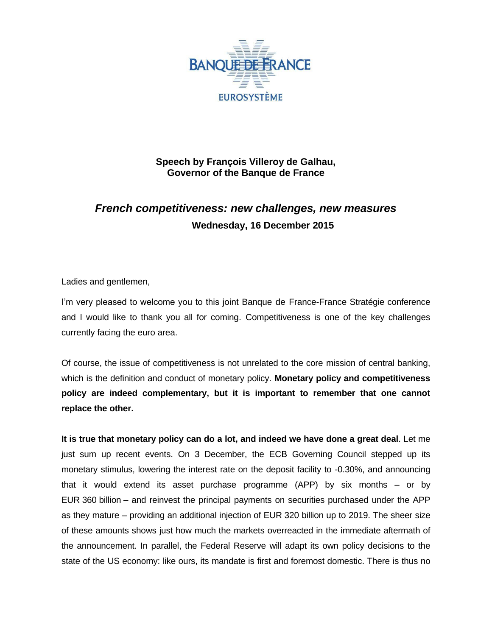

**Speech by François Villeroy de Galhau, Governor of the Banque de France**

# *French competitiveness: new challenges, new measures* **Wednesday, 16 December 2015**

Ladies and gentlemen,

I'm very pleased to welcome you to this joint Banque de France-France Stratégie conference and I would like to thank you all for coming. Competitiveness is one of the key challenges currently facing the euro area.

Of course, the issue of competitiveness is not unrelated to the core mission of central banking, which is the definition and conduct of monetary policy. **Monetary policy and competitiveness policy are indeed complementary, but it is important to remember that one cannot replace the other.**

**It is true that monetary policy can do a lot, and indeed we have done a great deal**. Let me just sum up recent events. On 3 December, the ECB Governing Council stepped up its monetary stimulus, lowering the interest rate on the deposit facility to -0.30%, and announcing that it would extend its asset purchase programme (APP) by six months – or by EUR 360 billion – and reinvest the principal payments on securities purchased under the APP as they mature – providing an additional injection of EUR 320 billion up to 2019. The sheer size of these amounts shows just how much the markets overreacted in the immediate aftermath of the announcement. In parallel, the Federal Reserve will adapt its own policy decisions to the state of the US economy: like ours, its mandate is first and foremost domestic. There is thus no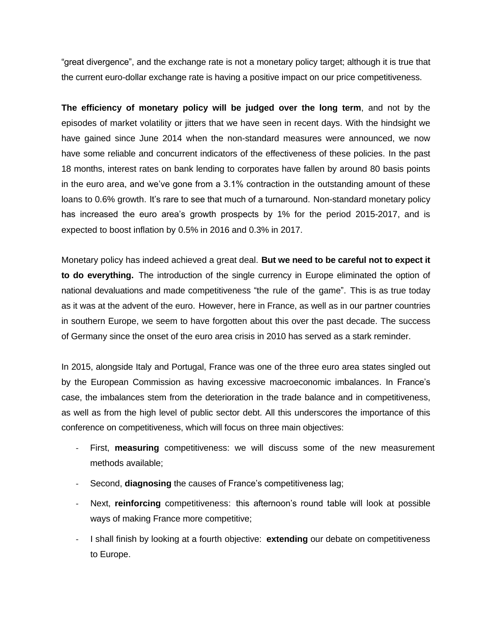"great divergence", and the exchange rate is not a monetary policy target; although it is true that the current euro-dollar exchange rate is having a positive impact on our price competitiveness.

**The efficiency of monetary policy will be judged over the long term**, and not by the episodes of market volatility or jitters that we have seen in recent days. With the hindsight we have gained since June 2014 when the non-standard measures were announced, we now have some reliable and concurrent indicators of the effectiveness of these policies. In the past 18 months, interest rates on bank lending to corporates have fallen by around 80 basis points in the euro area, and we've gone from a 3.1% contraction in the outstanding amount of these loans to 0.6% growth. It's rare to see that much of a turnaround. Non-standard monetary policy has increased the euro area's growth prospects by 1% for the period 2015-2017, and is expected to boost inflation by 0.5% in 2016 and 0.3% in 2017.

Monetary policy has indeed achieved a great deal. **But we need to be careful not to expect it to do everything.** The introduction of the single currency in Europe eliminated the option of national devaluations and made competitiveness "the rule of the game". This is as true today as it was at the advent of the euro. However, here in France, as well as in our partner countries in southern Europe, we seem to have forgotten about this over the past decade. The success of Germany since the onset of the euro area crisis in 2010 has served as a stark reminder.

In 2015, alongside Italy and Portugal, France was one of the three euro area states singled out by the European Commission as having excessive macroeconomic imbalances. In France's case, the imbalances stem from the deterioration in the trade balance and in competitiveness, as well as from the high level of public sector debt. All this underscores the importance of this conference on competitiveness, which will focus on three main objectives:

- First, **measuring** competitiveness: we will discuss some of the new measurement methods available;
- Second, **diagnosing** the causes of France's competitiveness lag;
- Next, **reinforcing** competitiveness: this afternoon's round table will look at possible ways of making France more competitive;
- I shall finish by looking at a fourth objective: **extending** our debate on competitiveness to Europe.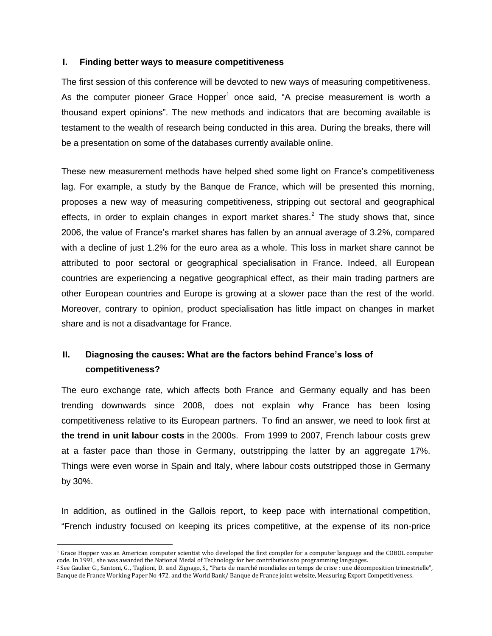### **I. Finding better ways to measure competitiveness**

The first session of this conference will be devoted to new ways of measuring competitiveness. As the computer pioneer Grace Hopper<sup>1</sup> once said, "A precise measurement is worth a thousand expert opinions". The new methods and indicators that are becoming available is testament to the wealth of research being conducted in this area. During the breaks, there will be a presentation on some of the databases currently available online.

These new measurement methods have helped shed some light on France's competitiveness lag. For example, a study by the Banque de France, which will be presented this morning, proposes a new way of measuring competitiveness, stripping out sectoral and geographical effects, in order to explain changes in export market shares.<sup>2</sup> The study shows that, since 2006, the value of France's market shares has fallen by an annual average of 3.2%, compared with a decline of just 1.2% for the euro area as a whole. This loss in market share cannot be attributed to poor sectoral or geographical specialisation in France. Indeed, all European countries are experiencing a negative geographical effect, as their main trading partners are other European countries and Europe is growing at a slower pace than the rest of the world. Moreover, contrary to opinion, product specialisation has little impact on changes in market share and is not a disadvantage for France.

## **II. Diagnosing the causes: What are the factors behind France's loss of competitiveness?**

The euro exchange rate, which affects both France and Germany equally and has been trending downwards since 2008, does not explain why France has been losing competitiveness relative to its European partners. To find an answer, we need to look first at **the trend in unit labour costs** in the 2000s. From 1999 to 2007, French labour costs grew at a faster pace than those in Germany, outstripping the latter by an aggregate 17%. Things were even worse in Spain and Italy, where labour costs outstripped those in Germany by 30%.

In addition, as outlined in the Gallois report, to keep pace with international competition, "French industry focused on keeping its prices competitive, at the expense of its non-price

 $\overline{a}$ 

<sup>&</sup>lt;sup>1</sup> Grace Hopper was an American computer scientist who developed the first compiler for a computer language and the COBOL computer code. In 1991, she was awarded the National Medal of Technology for her contributions to programming languages.

<sup>2</sup> See Gaulier G., Santoni, G., Taglioni, D. and Zignago, S., "Parts de marché mondiales en temps de crise : une décomposition trimestrielle", [Banque de France Working Paper No 472,](https://www.banque-france.fr/uploads/tx_bdfdocumentstravail/DT-472.pdf) and the World Bank/ Banque de France joint website[, Measuring Export Competitiveness.](http://mec.worldbank.org/discover)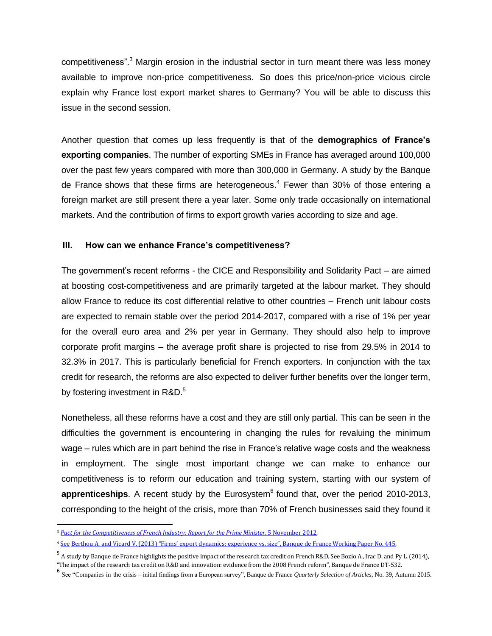competitiveness".<sup>3</sup> Margin erosion in the industrial sector in turn meant there was less money available to improve non-price competitiveness. So does this price/non-price vicious circle explain why France lost export market shares to Germany? You will be able to discuss this issue in the second session.

Another question that comes up less frequently is that of the **demographics of France's exporting companies**. The number of exporting SMEs in France has averaged around 100,000 over the past few years compared with more than 300,000 in Germany. A study by the Banque de France shows that these firms are heterogeneous.<sup>4</sup> Fewer than 30% of those entering a foreign market are still present there a year later. Some only trade occasionally on international markets. And the contribution of firms to export growth varies according to size and age.

### **III. How can we enhance France's competitiveness?**

The government's recent reforms - the CICE and Responsibility and Solidarity Pact – are aimed at boosting cost-competitiveness and are primarily targeted at the labour market. They should allow France to reduce its cost differential relative to other countries – French unit labour costs are expected to remain stable over the period 2014-2017, compared with a rise of 1% per year for the overall euro area and 2% per year in Germany. They should also help to improve corporate profit margins – the average profit share is projected to rise from 29.5% in 2014 to 32.3% in 2017. This is particularly beneficial for French exporters. In conjunction with the tax credit for research, the reforms are also expected to deliver further benefits over the longer term, by fostering investment in R&D.<sup>5</sup>

Nonetheless, all these reforms have a cost and they are still only partial. This can be seen in the difficulties the government is encountering in changing the rules for revaluing the minimum wage – rules which are in part behind the rise in France's relative wage costs and the weakness in employment. The single most important change we can make to enhance our competitiveness is to reform our education and training system, starting with our system of apprenticeships. A recent study by the Eurosystem<sup>6</sup> found that, over the period 2010-2013, corresponding to the height of the crisis, more than 70% of French businesses said they found it

 $\overline{a}$ 

<sup>3</sup> *[Pact for the Competitiveness of French Industry: Report for the Prime Minister](http://www.egee.asso.fr/IMG/pdf/rapport_gallois.pdf)*, 5 November 2012.

<sup>4</sup> See Berthou A. and Vicard V. (2013) "Firms' export dynamics: experience vs. size", Banque de France [Working Paper No. 445.](https://www.banque-france.fr/uploads/tx_bdfdocumentstravail/DT-445.pdf)

<sup>&</sup>lt;sup>5</sup> A study by Banque de France highlights the positive impact of the research tax credit on French R&D. See Bozio A., Irac D. and Py L. (2014), "The impact of the research tax credit on R&D and innovation: evidence from the 2008 French reform", Banque de France DT-532.

<sup>6</sup> See "Companies in the crisis – initial findings from a European survey", Banque de France *Quarterly Selection of Articles*, No. 39, Autumn 2015.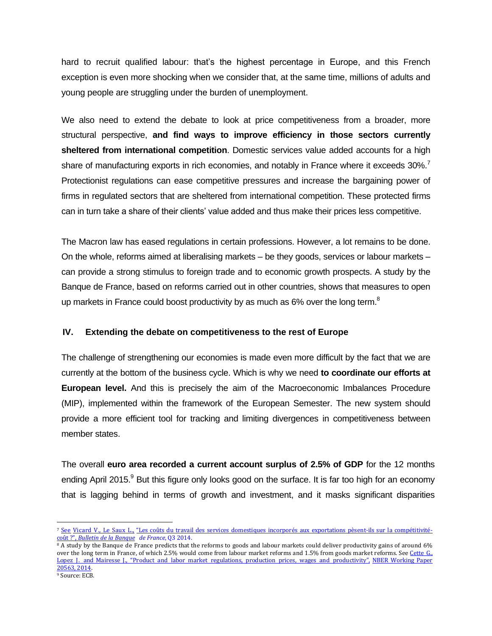hard to recruit qualified labour: that's the highest percentage in Europe, and this French exception is even more shocking when we consider that, at the same time, millions of adults and young people are struggling under the burden of unemployment.

We also need to extend the debate to look at price competitiveness from a broader, more structural perspective, **and find ways to improve efficiency in those sectors currently sheltered from international competition**. Domestic services value added accounts for a high share of manufacturing exports in rich economies, and notably in France where it exceeds 30%.<sup>7</sup> Protectionist regulations can ease competitive pressures and increase the bargaining power of firms in regulated sectors that are sheltered from international competition. These protected firms can in turn take a share of their clients' value added and thus make their prices less competitive.

The Macron law has eased regulations in certain professions. However, a lot remains to be done. On the whole, reforms aimed at liberalising markets – be they goods, services or labour markets – can provide a strong stimulus to foreign trade and to economic growth prospects. A study by the Banque de France, based on reforms carried out in other countries, shows that measures to open up markets in France could boost productivity by as much as  $6\%$  over the long term.<sup>8</sup>

### **IV. Extending the debate on competitiveness to the rest of Europe**

 $\overline{a}$ 

The challenge of strengthening our economies is made even more difficult by the fact that we are currently at the bottom of the business cycle. Which is why we need **to coordinate our efforts at European level.** And this is precisely the aim of the Macroeconomic Imbalances Procedure (MIP), implemented within the framework of the European Semester. The new system should provide a more efficient tool for tracking and limiting divergences in competitiveness between member states.

The overall **euro area recorded a current account surplus of 2.5% of GDP** for the 12 months ending April 2015.<sup>9</sup> But this figure only looks good on the surface. It is far too high for an economy that is lagging behind in terms of growth and investment, and it masks significant disparities

<sup>7</sup> See Vicard V., Le Saux L., "Les coûts du travail des services domestiques incorporés aux exportations pèsent-ils sur la [compétitivité](https://www.banque-france.fr/fileadmin/user_upload/banque_de_france/publications/BDF197-5_cout-travail.pdf)coût ?", *[Bulletin](https://www.banque-france.fr/fileadmin/user_upload/banque_de_france/publications/BDF197-5_cout-travail.pdf) de la Banque de France*, [Q3 2014.](https://www.banque-france.fr/fileadmin/user_upload/banque_de_france/publications/BDF197-5_cout-travail.pdf)

<sup>8</sup> A study by the Banque de France predicts that the reforms to goods and labour markets could deliver productivity gains of around 6% over the long term in France, of which 2.5% would come from labour market reforms and 1.5% from goods market reform[s. See Cette](http://afse2015.sciencesconf.org/59464/document) G. Lopez [J. and Mairesse](http://afse2015.sciencesconf.org/59464/document) J., "Product and labor market regulations, production prices, wages and productivity", [NBER Working Paper](http://afse2015.sciencesconf.org/59464/document) [20563,](http://afse2015.sciencesconf.org/59464/document) 2014. <sup>9</sup> Source: ECB.